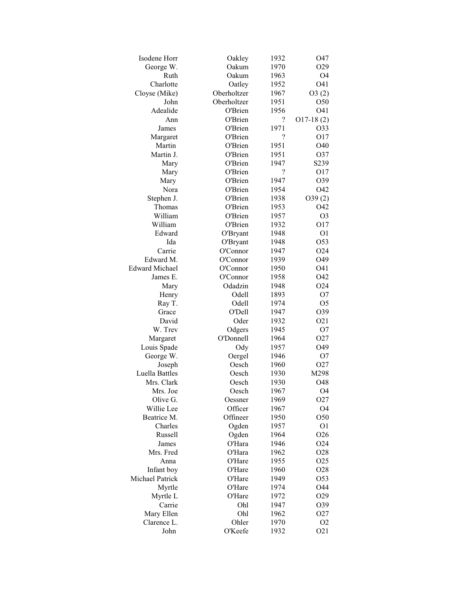| Isodene Horr          | Oakley          | 1932                     | O47              |
|-----------------------|-----------------|--------------------------|------------------|
| George W.             | Oakum           | 1970                     | O <sub>29</sub>  |
| Ruth                  | Oakum           | 1963                     | O <sub>4</sub>   |
| Charlotte             | Oatley          | 1952                     | O41              |
| Cloyse (Mike)         | Oberholtzer     | 1967                     | O3(2)            |
| John                  | Oberholtzer     | 1951                     | O50              |
| Adealide              | O'Brien         | 1956                     | O41              |
| Ann                   | O'Brien         | ?                        | $O17-18(2)$      |
| James                 | O'Brien         | 1971                     | 033              |
| Margaret              | O'Brien         | $\overline{\mathcal{C}}$ | O17              |
| Martin                | O'Brien         | 1951                     | O40              |
| Martin J.             | O'Brien         | 1951                     | O37              |
| Mary                  | O'Brien         | 1947                     | S239             |
| Mary                  | O'Brien         | $\ddot{?}$               | O17              |
| Mary                  | O'Brien         | 1947                     | O39              |
| Nora                  | O'Brien         | 1954                     | O42              |
| Stephen J.            | O'Brien         | 1938                     | O39(2)           |
| Thomas                | O'Brien         | 1953                     | O42              |
| William               | O'Brien         | 1957                     | O <sub>3</sub>   |
| William               | O'Brien         | 1932                     | O17              |
| Edward                | O'Bryant        | 1948                     | O <sub>1</sub>   |
| Ida                   | O'Bryant        | 1948                     | O53              |
| Carrie                | O'Connor        | 1947                     | O <sub>24</sub>  |
| Edward M.             | O'Connor        | 1939                     | O49              |
| <b>Edward Michael</b> | O'Connor        | 1950                     | O41              |
| James E.              | O'Connor        | 1958                     | O42              |
| Mary                  | Odadzin         | 1948                     | O <sub>24</sub>  |
|                       |                 |                          |                  |
| Henry                 | Odell           | 1893                     | O <sub>7</sub>   |
| Ray T.                | Odell<br>O'Dell | 1974<br>1947             | O <sub>5</sub>   |
| Grace                 |                 |                          | O39              |
| David                 | Oder            | 1932                     | O21              |
| W. Trev               | Odgers          | 1945                     | O <sub>7</sub>   |
| Margaret              | O'Donnell       | 1964                     | O <sub>27</sub>  |
| Louis Spade           | Ody             | 1957                     | O49              |
| George W.             | Oergel          | 1946                     | O <sub>7</sub>   |
| Joseph                | Oesch           | 1960                     | O <sub>27</sub>  |
| Luella Battles        | Oesch           | 1930                     | M298             |
| Mrs. Clark            | Oesch           | 1930                     | O48              |
| Mrs. Joe              | Oesch           | 1967                     | O4               |
| Olive G.              | Oessner         | 1969                     | O <sub>27</sub>  |
| Willie Lee            | Officer         | 1967                     | O4               |
| Beatrice M.           | Offineer        | 1950                     | O <sub>50</sub>  |
| Charles               | Ogden           | 1957                     | O <sub>1</sub>   |
| Russell               | Ogden           | 1964                     | O <sub>26</sub>  |
| James                 | O'Hara          | 1946                     | O <sub>24</sub>  |
| Mrs. Fred             | O'Hara          | 1962                     | O <sub>28</sub>  |
| Anna                  | O'Hare          | 1955                     | O <sub>25</sub>  |
| Infant boy            | O'Hare          | 1960                     | O <sub>28</sub>  |
| Michael Patrick       | O'Hare          | 1949                     | O53              |
| Myrtle                | O'Hare          | 1974                     | O44              |
| Myrtle L              | O'Hare          | 1972                     | O <sub>29</sub>  |
| Carrie                | Ohl             | 1947                     | O39              |
| Mary Ellen            | Ohl             | 1962                     | O <sub>27</sub>  |
| Clarence L.           | Ohler           | 1970                     | O <sub>2</sub>   |
| John                  | O'Keefe         | 1932                     | O <sub>2</sub> 1 |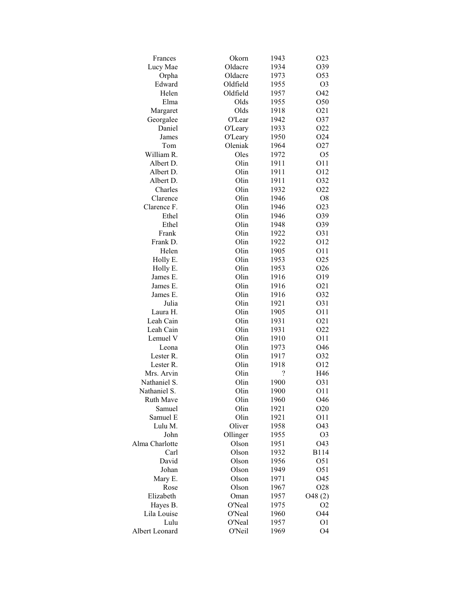| Frances          | Okorn          | 1943       | O <sub>2</sub> 3 |
|------------------|----------------|------------|------------------|
| Lucy Mae         | Oldacre        | 1934       | O39              |
| Orpha            | Oldacre        | 1973       | O53              |
| Edward           | Oldfield       | 1955       | O <sub>3</sub>   |
| Helen            | Oldfield       | 1957       | O42              |
| Elma             | Olds           | 1955       | O50              |
| Margaret         | Olds           | 1918       | O21              |
| Georgalee        | O'Lear         | 1942       | O37              |
| Daniel           | <b>O'Leary</b> | 1933       | O22              |
| James            | <b>O'Leary</b> | 1950       | O24              |
| Tom              | Oleniak        | 1964       | O27              |
| William R.       | Oles           | 1972       | O <sub>5</sub>   |
| Albert D.        | Olin           | 1911       | O11              |
| Albert D.        | Olin           | 1911       | O12              |
| Albert D.        | Olin           | 1911       | O32              |
| Charles          | Olin           | 1932       | O22              |
| Clarence         | Olin           | 1946       | O <sub>8</sub>   |
| Clarence F.      | Olin           | 1946       | O23              |
| Ethel            | Olin           | 1946       | O39              |
| Ethel            | Olin           | 1948       | O39              |
| Frank            | Olin           | 1922       | O31              |
| Frank D.         | Olin           | 1922       | O12              |
| Helen            | Olin           | 1905       | 011              |
|                  | Olin           |            | O25              |
| Holly E.         | Olin           | 1953       | O <sub>26</sub>  |
| Holly E.         | Olin           | 1953       |                  |
| James E.         | Olin           | 1916       | O19              |
| James E.         |                | 1916       | O <sub>2</sub> 1 |
| James E.         | Olin           | 1916       | O32              |
| Julia            | Olin           | 1921       | O31              |
| Laura H.         | Olin           | 1905       | O11              |
| Leah Cain        | Olin           | 1931       | O <sub>2</sub> 1 |
| Leah Cain        | Olin           | 1931       | O22              |
| Lemuel V         | Olin           | 1910       | O11              |
| Leona            | Olin           | 1973       | O46              |
| Lester R.        | Olin           | 1917       | O32              |
| Lester R.        | Olin           | 1918       | O12              |
| Mrs. Arvin       | Olin           | $\ddot{?}$ | H46              |
| Nathaniel S.     | Olin           | 1900       | O31              |
| Nathaniel S.     | Olin           | 1900       | O11              |
| <b>Ruth Mave</b> | Olin           | 1960       | O46              |
| Samuel           | Olin           | 1921       | O <sub>20</sub>  |
| Samuel E         | Olin           | 1921       | O11              |
| Lulu M.          | Oliver         | 1958       | O43              |
| John             | Ollinger       | 1955       | O <sub>3</sub>   |
| Alma Charlotte   | Olson          | 1951       | O43              |
| Carl             | Olson          | 1932       | <b>B114</b>      |
| David            | Olson          | 1956       | O <sub>51</sub>  |
| Johan            | Olson          | 1949       | O51              |
| Mary E.          | Olson          | 1971       | O45              |
| Rose             | Olson          | 1967       | O <sub>28</sub>  |
| Elizabeth        | Oman           | 1957       | O48(2)           |
| Hayes B.         | O'Neal         | 1975       | O <sub>2</sub>   |
| Lila Louise      | O'Neal         | 1960       | O44              |
| Lulu             | O'Neal         | 1957       | O <sub>1</sub>   |
| Albert Leonard   | O'Neil         | 1969       | O <sub>4</sub>   |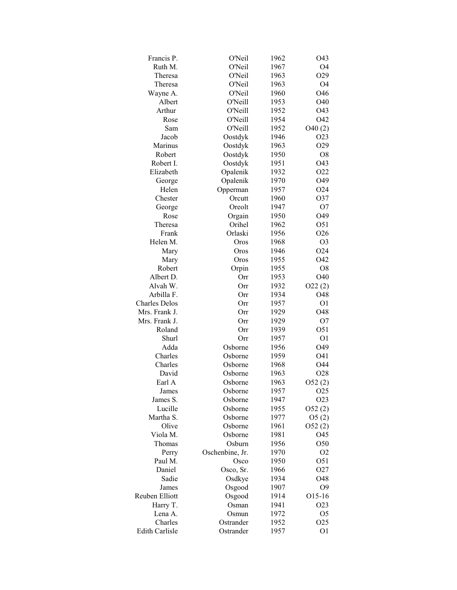| Francis P.                            | <b>O'Neil</b>   | 1962         | O43                   |
|---------------------------------------|-----------------|--------------|-----------------------|
| Ruth M.                               | O'Neil          | 1967         | O <sub>4</sub>        |
| Theresa                               | O'Neil          | 1963         | O29                   |
| Theresa                               | <b>O'Neil</b>   | 1963         | O <sub>4</sub>        |
| Wayne A.                              | O'Neil          | 1960         | O46                   |
| Albert                                | O'Neill         | 1953         | O40                   |
| Arthur                                | <b>O'Neill</b>  | 1952         | O43                   |
| Rose                                  | O'Neill         | 1954         | O42                   |
| Sam                                   | <b>O'Neill</b>  | 1952         | O40(2)                |
| Jacob                                 | Oostdyk         | 1946         | O <sub>2</sub> 3      |
| Marinus                               | Oostdyk         | 1963         | O29                   |
| Robert                                | Oostdyk         | 1950         | O <sub>8</sub>        |
| Robert I.                             | Oostdyk         | 1951         | O43                   |
| Elizabeth                             | Opalenik        | 1932         | O22                   |
| George                                | Opalenik        | 1970         | O49                   |
| Helen                                 | Opperman        | 1957         | O <sub>24</sub>       |
| Chester                               | Orcutt          | 1960         | O37                   |
| George                                | Oreolt          | 1947         | O7                    |
| Rose                                  | Orgain          | 1950         | O49                   |
| Theresa                               | Orihel          | 1962         | O51                   |
| Frank                                 | Orlaski         | 1956         | O26                   |
| Helen M.                              | Oros            | 1968         | O <sub>3</sub>        |
|                                       | Oros            | 1946         | O24                   |
| Mary                                  | Oros            | 1955         | O42                   |
| Mary                                  |                 |              |                       |
| Robert                                | Orpin           | 1955         | O <sub>8</sub><br>O40 |
| Albert D.<br>Alvah W.                 | Orr<br>Orr      | 1953<br>1932 |                       |
| Arbilla F.                            |                 |              | O22(2)                |
|                                       | Orr             | 1934         | O48                   |
| <b>Charles Delos</b><br>Mrs. Frank J. | Orr<br>Orr      | 1957         | O <sub>1</sub><br>O48 |
|                                       |                 | 1929         |                       |
| Mrs. Frank J.                         | Orr             | 1929         | O <sub>7</sub>        |
| Roland                                | Orr             | 1939         | O51                   |
| Shurl                                 | Orr             | 1957         | O <sub>1</sub>        |
| Adda                                  | Osborne         | 1956         | O49                   |
| Charles                               | Osborne         | 1959         | O41                   |
| Charles                               | Osborne         | 1968         | O44                   |
| David                                 | Osborne         | 1963         | O <sub>28</sub>       |
| Earl A                                | Osborne         | 1963         | O52(2)                |
| James                                 | Osborne         | 1957         | O <sub>25</sub>       |
| James S.                              | Osborne         | 1947         | O <sub>2</sub> 3      |
| Lucille                               | Osborne         | 1955         | O52(2)                |
| Martha S.                             | Osborne         | 1977         | O5(2)                 |
| Olive                                 | Osborne         | 1961         | O52(2)                |
| Viola M.                              | Osborne         | 1981         | O45                   |
| Thomas                                | Osburn          | 1956         | O50                   |
| Perry                                 | Oschenbine, Jr. | 1970         | O <sub>2</sub>        |
| Paul M.                               | Osco            | 1950         | O51                   |
| Daniel                                | Osco, Sr.       | 1966         | O <sub>27</sub>       |
| Sadie                                 | Osdkye          | 1934         | O48                   |
| James                                 | Osgood          | 1907         | О9                    |
| Reuben Elliott                        | Osgood          | 1914         | O15-16                |
| Harry T.                              | Osman           | 1941         | O <sub>2</sub> 3      |
| Lena A.                               | Osmun           | 1972         | O <sub>5</sub>        |
| Charles                               | Ostrander       | 1952         | O <sub>25</sub>       |
| Edith Carlisle                        | Ostrander       | 1957         | O <sub>1</sub>        |